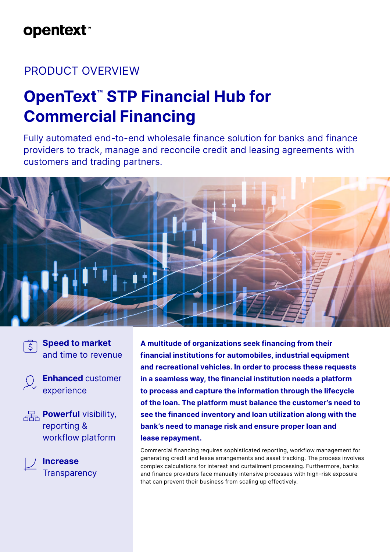# **opentext**™

### PRODUCT OVERVIEW

# **OpenText™ STP Financial Hub for Commercial Financing**

Fully automated end-to-end wholesale finance solution for banks and finance providers to track, manage and reconcile credit and leasing agreements with customers and trading partners.



**Speed to market**  and time to revenue

 $\overline{S}$ 

**Enhanced** customer experience

**Powerful** visibility, reporting & workflow platform

> **Increase Transparency**

**A multitude of organizations seek financing from their financial institutions for automobiles, industrial equipment and recreational vehicles. In order to process these requests in a seamless way, the financial institution needs a platform to process and capture the information through the lifecycle of the loan. The platform must balance the customer's need to see the financed inventory and loan utilization along with the bank's need to manage risk and ensure proper loan and lease repayment.**

Commercial financing requires sophisticated reporting, workflow management for generating credit and lease arrangements and asset tracking. The process involves complex calculations for interest and curtailment processing. Furthermore, banks and finance providers face manually intensive processes with high-risk exposure that can prevent their business from scaling up effectively.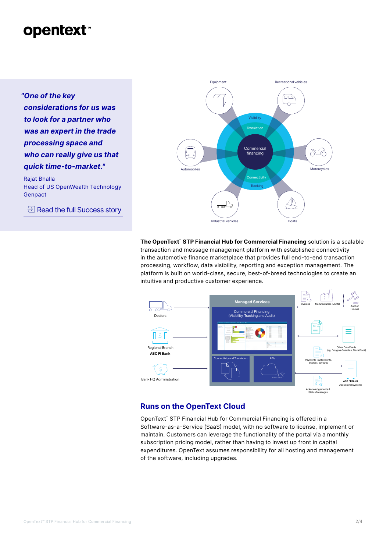### **opentext**

*"One of the key considerations for us was to look for a partner who was an expert in the trade processing space and who can really give us that quick time-to-market."*

Rajat Bhalla Head of US OpenWealth Technology Genpact

 $\exists$  [Read the full Success story](https://www.opentext.com/customer-stories/customer-story-detail?id=1301)



The OpenText<sup>®</sup> STP Financial Hub for Commercial Financing solution is a scalable transaction and message management platform with established connectivity in the automotive finance marketplace that provides full end-to-end transaction processing, workflow, data visibility, reporting and exception management. The platform is built on world-class, secure, best-of-breed technologies to create an intuitive and productive customer experience.



#### **Runs on the OpenText Cloud**

OpenText™ STP Financial Hub for Commercial Financing is offered in a Software-as-a-Service (SaaS) model, with no software to license, implement or maintain. Customers can leverage the functionality of the portal via a monthly subscription pricing model, rather than having to invest up front in capital expenditures. OpenText assumes responsibility for all hosting and management of the software, including upgrades.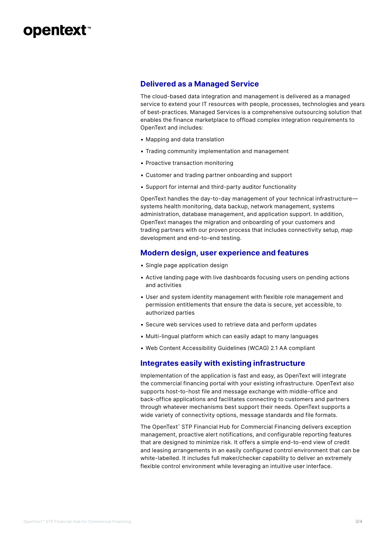### **opentext™**

#### **Delivered as a Managed Service**

The cloud-based data integration and management is delivered as a managed service to extend your IT resources with people, processes, technologies and years of best-practices. Managed Services is a comprehensive outsourcing solution that enables the finance marketplace to offload complex integration requirements to OpenText and includes:

- Mapping and data translation
- Trading community implementation and management
- Proactive transaction monitoring
- Customer and trading partner onboarding and support
- Support for internal and third-party auditor functionality

OpenText handles the day-to-day management of your technical infrastructure systems health monitoring, data backup, network management, systems administration, database management, and application support. In addition, OpenText manages the migration and onboarding of your customers and trading partners with our proven process that includes connectivity setup, map development and end-to-end testing.

#### **Modern design, user experience and features**

- Single page application design
- Active landing page with live dashboards focusing users on pending actions and activities
- User and system identity management with flexible role management and permission entitlements that ensure the data is secure, yet accessible, to authorized parties
- Secure web services used to retrieve data and perform updates
- Multi-lingual platform which can easily adapt to many languages
- Web Content Accessibility Guidelines (WCAG) 2.1 AA compliant

#### **Integrates easily with existing infrastructure**

Implementation of the application is fast and easy, as OpenText will integrate the commercial financing portal with your existing infrastructure. OpenText also supports host-to-host file and message exchange with middle-office and back-office applications and facilitates connecting to customers and partners through whatever mechanisms best support their needs. OpenText supports a wide variety of connectivity options, message standards and file formats.

The OpenText™ STP Financial Hub for Commercial Financing delivers exception management, proactive alert notifications, and configurable reporting features that are designed to minimize risk. It offers a simple end-to-end view of credit and leasing arrangements in an easily configured control environment that can be white-labelled. It includes full maker/checker capability to deliver an extremely flexible control environment while leveraging an intuitive user interface.